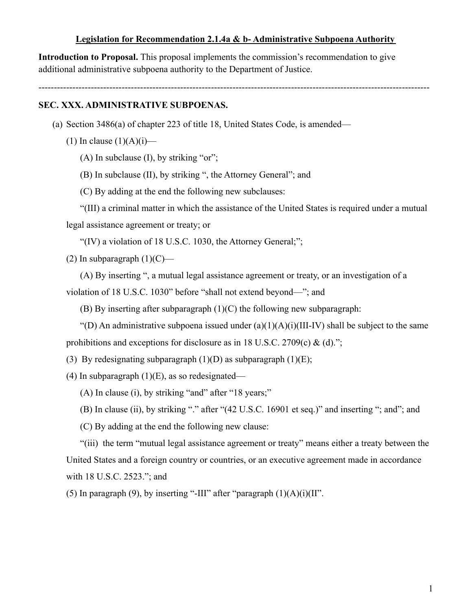#### **Legislation for Recommendation 2.1.4a & b- Administrative Subpoena Authority**

**Introduction to Proposal.** This proposal implements the commission's recommendation to give additional administrative subpoena authority to the Department of Justice.

-------------------------------------------------------------------------------------------------------------------------------

### **SEC. XXX. ADMINISTRATIVE SUBPOENAS.**

(a) Section 3486(a) of chapter 223 of title 18, United States Code, is amended—

(1) In clause  $(1)(A)(i)$ —

(A) In subclause  $(I)$ , by striking "or";

(B) In subclause (II), by striking ", the Attorney General"; and

(C) By adding at the end the following new subclauses:

"(III) a criminal matter in which the assistance of the United States is required under a mutual

legal assistance agreement or treaty; or

"(IV) a violation of 18 U.S.C. 1030, the Attorney General;";

(2) In subparagraph  $(1)(C)$ —

(A) By inserting ", a mutual legal assistance agreement or treaty, or an investigation of a

violation of 18 U.S.C. 1030" before "shall not extend beyond—"; and

(B) By inserting after subparagraph (1)(C) the following new subparagraph:

"(D) An administrative subpoena issued under  $(a)(1)(A)(i)(III-IV)$  shall be subject to the same prohibitions and exceptions for disclosure as in 18 U.S.C. 2709(c) & (d).";

(3) By redesignating subparagraph  $(1)(D)$  as subparagraph  $(1)(E)$ ;

(4) In subparagraph  $(1)(E)$ , as so redesignated—

(A) In clause (i), by striking "and" after "18 years;"

(B) In clause (ii), by striking "." after "(42 U.S.C. 16901 et seq.)" and inserting "; and"; and

(C) By adding at the end the following new clause:

"(iii) the term "mutual legal assistance agreement or treaty" means either a treaty between the United States and a foreign country or countries, or an executive agreement made in accordance with 18 U.S.C. 2523."; and

(5) In paragraph (9), by inserting "-III" after "paragraph  $(1)(A)(i)(II)$ ".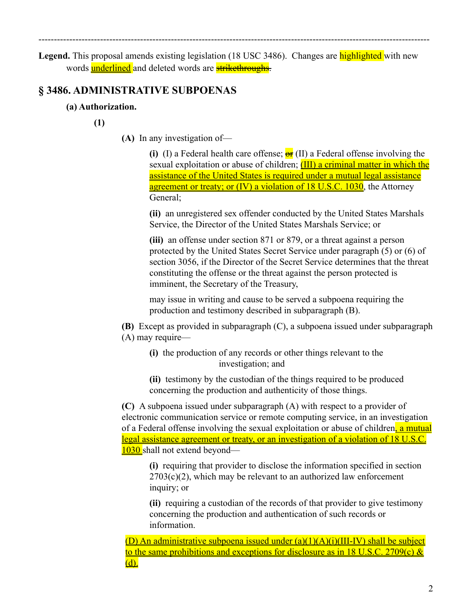Legend. This proposal amends existing legislation (18 USC 3486). Changes are **highlighted** with new words underlined and deleted words are **strikethroughs**.

-------------------------------------------------------------------------------------------------------------------------------

# **§ 3486. ADMINISTRATIVE SUBPOENAS**

## **(a) Authorization.**

**(1)**

**(A)** In any investigation of—

**(i)** (I) a Federal health care offense;  $\frac{\partial \mathbf{r}}{\partial t}$  (II) a Federal offense involving the sexual exploitation or abuse of children; **(III)** a criminal matter in which the assistance of the United States is required under a mutual legal assistance agreement or treaty; or (IV) a violation of 18 U.S.C. 1030, the Attorney General;

**(ii)** an unregistered sex offender conducted by the United States Marshals Service, the Director of the United States Marshals Service; or

**(iii)** an offense under section 871 or 879, or a threat against a person protected by the United States Secret Service under paragraph (5) or (6) of section 3056, if the Director of the Secret Service determines that the threat constituting the offense or the threat against the person protected is imminent, the Secretary of the Treasury,

may issue in writing and cause to be served a subpoena requiring the production and testimony described in subparagraph (B).

**(B)** Except as provided in subparagraph (C), a subpoena issued under subparagraph (A) may require—

- **(i)** the production of any records or other things relevant to the investigation; and
- **(ii)** testimony by the custodian of the things required to be produced concerning the production and authenticity of those things.

**(C)** A subpoena issued under subparagraph (A) with respect to a provider of electronic communication service or remote computing service, in an investigation of a Federal offense involving the sexual exploitation or abuse of children, a mutual legal assistance agreement or treaty, or an investigation of a violation of 18 U.S.C. 1030 shall not extend beyond—

**(i)** requiring that provider to disclose the information specified in section  $2703(c)(2)$ , which may be relevant to an authorized law enforcement inquiry; or

**(ii)** requiring a custodian of the records of that provider to give testimony concerning the production and authentication of such records or information.

(D) An administrative subpoena issued under  $(a)(1)(A)(i)(III-IV)$  shall be subject to the same prohibitions and exceptions for disclosure as in 18 U.S.C. 2709(c)  $\&$ (d).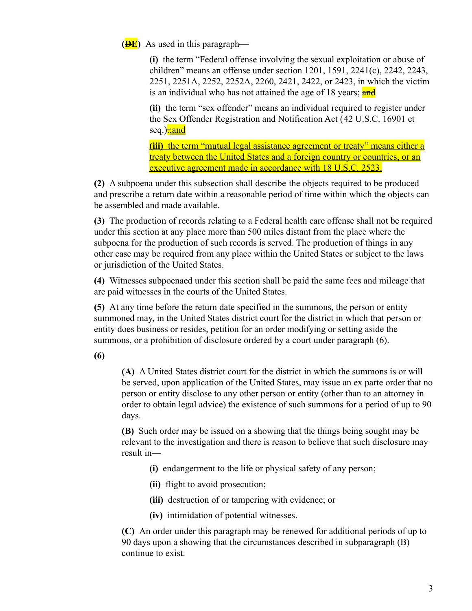**(<del>D</del>E**) As used in this paragraph—

**(i)** the term "Federal offense involving the sexual exploitation or abuse of children" means an offense under section 1201, 1591, 2241(c), 2242, 2243, 2251, 2251A, 2252, 2252A, 2260, 2421, 2422, or 2423, in which the victim is an individual who has not attained the age of 18 years; and

**(ii)** the term "sex offender" means an individual required to register under the Sex Offender Registration and Notification Act ([42 U.S.C. 16901](https://advance.lexis.com/api/document?collection=statutes-legislation&id=urn:contentItem:8SHT-0732-D6RV-H31V-00000-00&context=) et seq.)<mark>: and</mark>

**(iii)** the term "mutual legal assistance agreement or treaty" means either a treaty between the United States and a foreign country or countries, or an executive agreement made in accordance with 18 U.S.C. 2523.

**(2)** A subpoena under this subsection shall describe the objects required to be produced and prescribe a return date within a reasonable period of time within which the objects can be assembled and made available.

**(3)** The production of records relating to a Federal health care offense shall not be required under this section at any place more than 500 miles distant from the place where the subpoena for the production of such records is served. The production of things in any other case may be required from any place within the United States or subject to the laws or jurisdiction of the United States.

**(4)** Witnesses subpoenaed under this section shall be paid the same fees and mileage that are paid witnesses in the courts of the United States.

**(5)** At any time before the return date specified in the summons, the person or entity summoned may, in the United States district court for the district in which that person or entity does business or resides, petition for an order modifying or setting aside the summons, or a prohibition of disclosure ordered by a court under paragraph (6).

**(6)**

**(A)** A United States district court for the district in which the summons is or will be served, upon application of the United States, may issue an ex parte order that no person or entity disclose to any other person or entity (other than to an attorney in order to obtain legal advice) the existence of such summons for a period of up to 90 days.

**(B)** Such order may be issued on a showing that the things being sought may be relevant to the investigation and there is reason to believe that such disclosure may result in—

- **(i)** endangerment to the life or physical safety of any person;
- **(ii)** flight to avoid prosecution;
- **(iii)** destruction of or tampering with evidence; or
- **(iv)** intimidation of potential witnesses.

**(C)** An order under this paragraph may be renewed for additional periods of up to 90 days upon a showing that the circumstances described in subparagraph (B) continue to exist.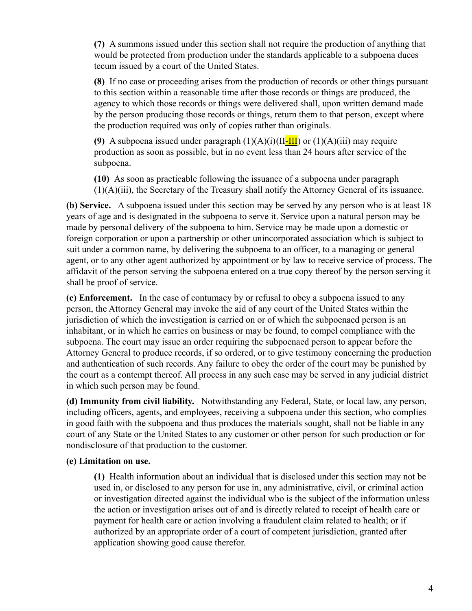**(7)** A summons issued under this section shall not require the production of anything that would be protected from production under the standards applicable to a subpoena duces tecum issued by a court of the United States.

**(8)** If no case or proceeding arises from the production of records or other things pursuant to this section within a reasonable time after those records or things are produced, the agency to which those records or things were delivered shall, upon written demand made by the person producing those records or things, return them to that person, except where the production required was only of copies rather than originals.

**(9)** A subpoena issued under paragraph  $(1)(A)(i)(II-III)$  or  $(1)(A)(iii)$  may require production as soon as possible, but in no event less than 24 hours after service of the subpoena.

**(10)** As soon as practicable following the issuance of a subpoena under paragraph (1)(A)(iii), the Secretary of the Treasury shall notify the Attorney General of its issuance.

**(b) Service.** A subpoena issued under this section may be served by any person who is at least 18 years of age and is designated in the subpoena to serve it. Service upon a natural person may be made by personal delivery of the subpoena to him. Service may be made upon a domestic or foreign corporation or upon a partnership or other unincorporated association which is subject to suit under a common name, by delivering the subpoena to an officer, to a managing or general agent, or to any other agent authorized by appointment or by law to receive service of process. The affidavit of the person serving the subpoena entered on a true copy thereof by the person serving it shall be proof of service.

**(c) Enforcement.** In the case of contumacy by or refusal to obey a subpoena issued to any person, the Attorney General may invoke the aid of any court of the United States within the jurisdiction of which the investigation is carried on or of which the subpoenaed person is an inhabitant, or in which he carries on business or may be found, to compel compliance with the subpoena. The court may issue an order requiring the subpoenaed person to appear before the Attorney General to produce records, if so ordered, or to give testimony concerning the production and authentication of such records. Any failure to obey the order of the court may be punished by the court as a contempt thereof. All process in any such case may be served in any judicial district in which such person may be found.

**(d) Immunity from civil liability.** Notwithstanding any Federal, State, or local law, any person, including officers, agents, and employees, receiving a subpoena under this section, who complies in good faith with the subpoena and thus produces the materials sought, shall not be liable in any court of any State or the United States to any customer or other person for such production or for nondisclosure of that production to the customer.

### **(e) Limitation on use.**

**(1)** Health information about an individual that is disclosed under this section may not be used in, or disclosed to any person for use in, any administrative, civil, or criminal action or investigation directed against the individual who is the subject of the information unless the action or investigation arises out of and is directly related to receipt of health care or payment for health care or action involving a fraudulent claim related to health; or if authorized by an appropriate order of a court of competent jurisdiction, granted after application showing good cause therefor.